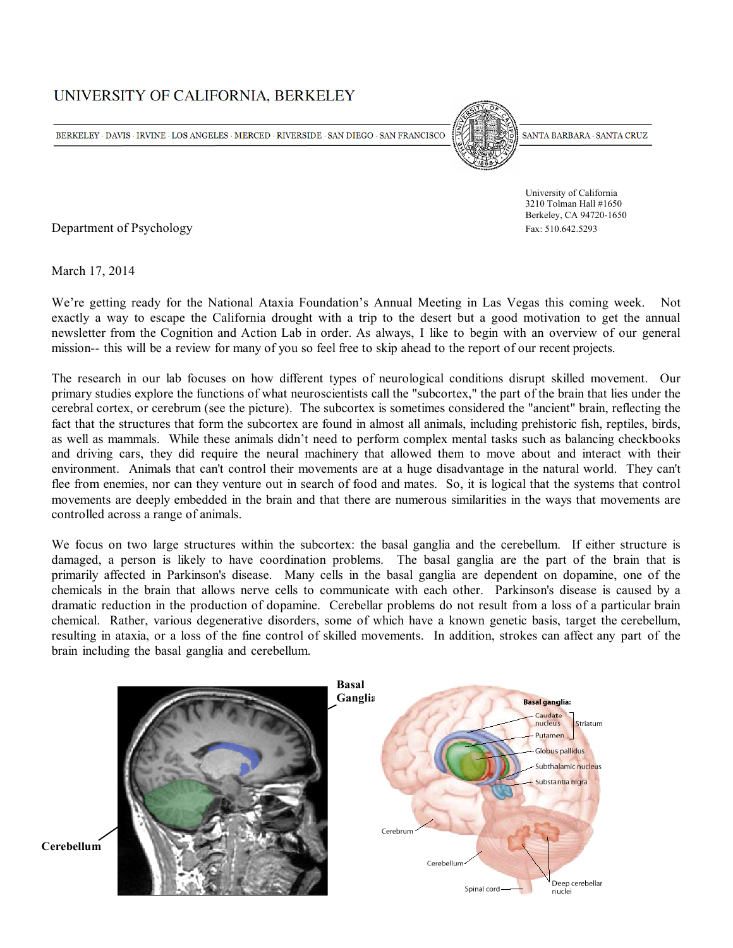# UNIVERSITY OF CALIFORNIA, BERKELEY

BERKELEY  $\cdot$  DAVIS  $\cdot$  IRVINE  $\cdot$  LOS ANGELES  $\cdot$  MERCED  $\cdot$  RIVERSIDE  $\cdot$  SAN DIEGO  $\cdot$  SAN FRANCISCO



SANTA BARBARA · SANTA CRUZ

 University of California 3210 Tolman Hall #1650 Berkeley, CA 94720-1650

Department of Psychology Fax: 510.642.5293

March 17, 2014

We're getting ready for the National Ataxia Foundation's Annual Meeting in Las Vegas this coming week. Not exactly a way to escape the California drought with a trip to the desert but a good motivation to get the annual newsletter from the Cognition and Action Lab in order. As always, I like to begin with an overview of our general mission-- this will be a review for many of you so feel free to skip ahead to the report of our recent projects.

The research in our lab focuses on how different types of neurological conditions disrupt skilled movement. Our primary studies explore the functions of what neuroscientists call the "subcortex," the part of the brain that lies under the cerebral cortex, or cerebrum (see the picture). The subcortex is sometimes considered the "ancient" brain, reflecting the fact that the structures that form the subcortex are found in almost all animals, including prehistoric fish, reptiles, birds, as well as mammals. While these animals didn't need to perform complex mental tasks such as balancing checkbooks and driving cars, they did require the neural machinery that allowed them to move about and interact with their environment. Animals that can't control their movements are at a huge disadvantage in the natural world. They can't flee from enemies, nor can they venture out in search of food and mates. So, it is logical that the systems that control movements are deeply embedded in the brain and that there are numerous similarities in the ways that movements are controlled across a range of animals.

We focus on two large structures within the subcortex: the basal ganglia and the cerebellum. If either structure is damaged, a person is likely to have coordination problems. The basal ganglia are the part of the brain that is primarily affected in Parkinson's disease. Many cells in the basal ganglia are dependent on dopamine, one of the chemicals in the brain that allows nerve cells to communicate with each other. Parkinson's disease is caused by a dramatic reduction in the production of dopamine. Cerebellar problems do not result from a loss of a particular brain chemical. Rather, various degenerative disorders, some of which have a known genetic basis, target the cerebellum, resulting in ataxia, or a loss of the fine control of skilled movements. In addition, strokes can affect any part of the brain including the basal ganglia and cerebellum.

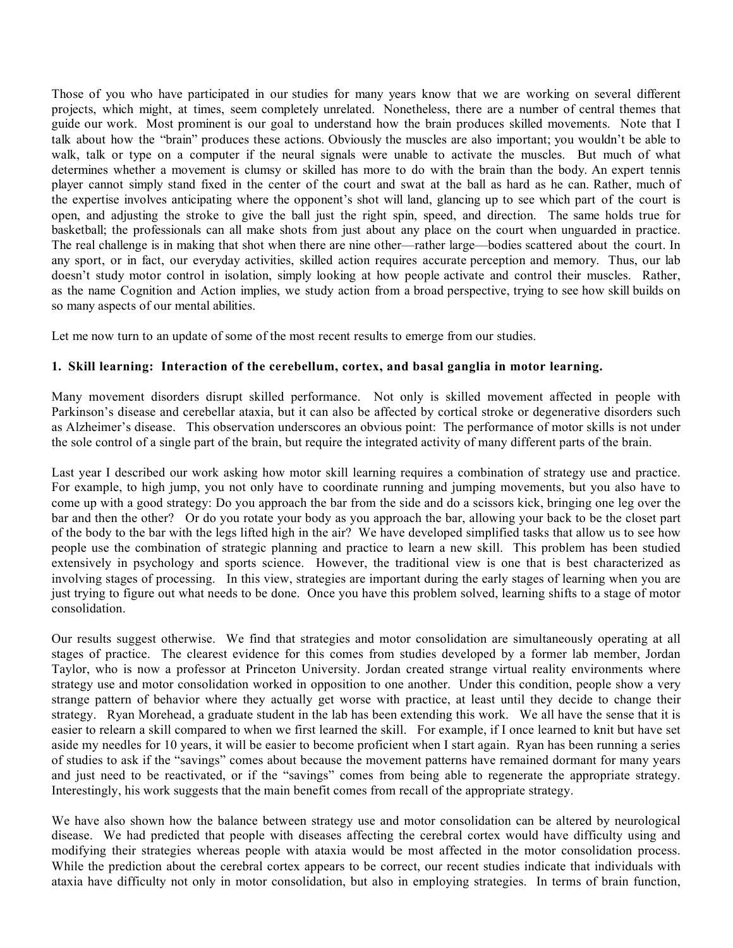Those of you who have participated in our studies for many years know that we are working on several different projects, which might, at times, seem completely unrelated. Nonetheless, there are a number of central themes that guide our work. Most prominent is our goal to understand how the brain produces skilled movements. Note that I talk about how the "brain" produces these actions. Obviously the muscles are also important; you wouldn't be able to walk, talk or type on a computer if the neural signals were unable to activate the muscles. But much of what determines whether a movement is clumsy or skilled has more to do with the brain than the body. An expert tennis player cannot simply stand fixed in the center of the court and swat at the ball as hard as he can. Rather, much of the expertise involves anticipating where the opponent's shot will land, glancing up to see which part of the court is open, and adjusting the stroke to give the ball just the right spin, speed, and direction. The same holds true for basketball; the professionals can all make shots from just about any place on the court when unguarded in practice. The real challenge is in making that shot when there are nine other—rather large—bodies scattered about the court. In any sport, or in fact, our everyday activities, skilled action requires accurate perception and memory. Thus, our lab doesn't study motor control in isolation, simply looking at how people activate and control their muscles. Rather, as the name Cognition and Action implies, we study action from a broad perspective, trying to see how skill builds on so many aspects of our mental abilities.

Let me now turn to an update of some of the most recent results to emerge from our studies.

## **1. Skill learning: Interaction of the cerebellum, cortex, and basal ganglia in motor learning.**

Many movement disorders disrupt skilled performance. Not only is skilled movement affected in people with Parkinson's disease and cerebellar ataxia, but it can also be affected by cortical stroke or degenerative disorders such as Alzheimer's disease. This observation underscores an obvious point: The performance of motor skills is not under the sole control of a single part of the brain, but require the integrated activity of many different parts of the brain.

Last year I described our work asking how motor skill learning requires a combination of strategy use and practice. For example, to high jump, you not only have to coordinate running and jumping movements, but you also have to come up with a good strategy: Do you approach the bar from the side and do a scissors kick, bringing one leg over the bar and then the other? Or do you rotate your body as you approach the bar, allowing your back to be the closet part of the body to the bar with the legs lifted high in the air? We have developed simplified tasks that allow us to see how people use the combination of strategic planning and practice to learn a new skill. This problem has been studied extensively in psychology and sports science. However, the traditional view is one that is best characterized as involving stages of processing. In this view, strategies are important during the early stages of learning when you are just trying to figure out what needs to be done. Once you have this problem solved, learning shifts to a stage of motor consolidation.

Our results suggest otherwise. We find that strategies and motor consolidation are simultaneously operating at all stages of practice. The clearest evidence for this comes from studies developed by a former lab member, Jordan Taylor, who is now a professor at Princeton University. Jordan created strange virtual reality environments where strategy use and motor consolidation worked in opposition to one another. Under this condition, people show a very strange pattern of behavior where they actually get worse with practice, at least until they decide to change their strategy. Ryan Morehead, a graduate student in the lab has been extending this work. We all have the sense that it is easier to relearn a skill compared to when we first learned the skill. For example, if I once learned to knit but have set aside my needles for 10 years, it will be easier to become proficient when I start again. Ryan has been running a series of studies to ask if the "savings" comes about because the movement patterns have remained dormant for many years and just need to be reactivated, or if the "savings" comes from being able to regenerate the appropriate strategy. Interestingly, his work suggests that the main benefit comes from recall of the appropriate strategy.

We have also shown how the balance between strategy use and motor consolidation can be altered by neurological disease. We had predicted that people with diseases affecting the cerebral cortex would have difficulty using and modifying their strategies whereas people with ataxia would be most affected in the motor consolidation process. While the prediction about the cerebral cortex appears to be correct, our recent studies indicate that individuals with ataxia have difficulty not only in motor consolidation, but also in employing strategies. In terms of brain function,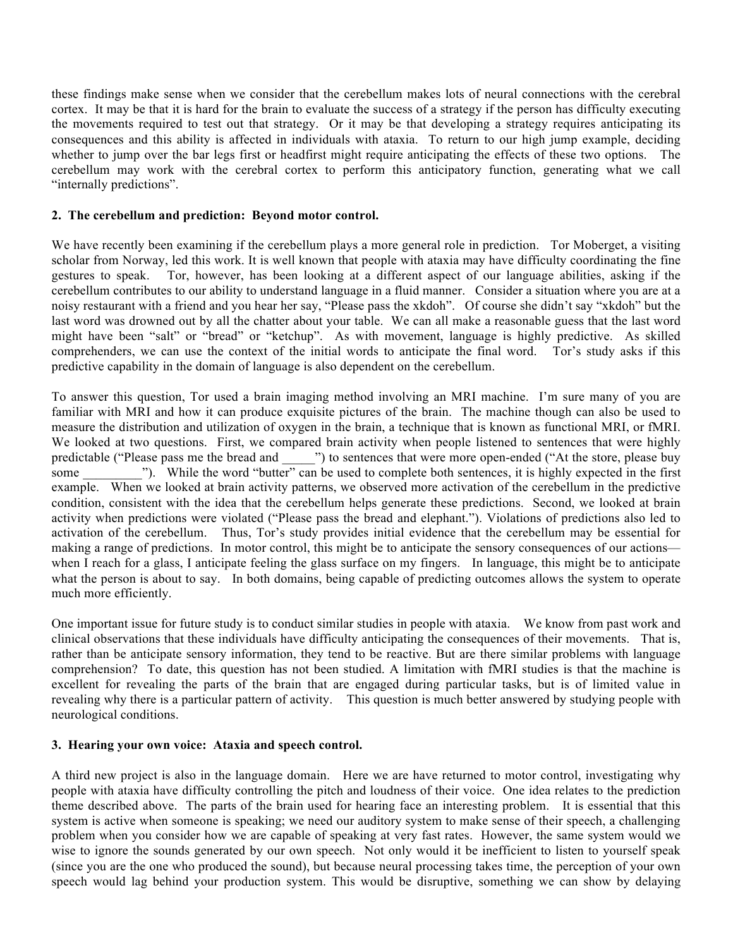these findings make sense when we consider that the cerebellum makes lots of neural connections with the cerebral cortex. It may be that it is hard for the brain to evaluate the success of a strategy if the person has difficulty executing the movements required to test out that strategy. Or it may be that developing a strategy requires anticipating its consequences and this ability is affected in individuals with ataxia. To return to our high jump example, deciding whether to jump over the bar legs first or headfirst might require anticipating the effects of these two options. The cerebellum may work with the cerebral cortex to perform this anticipatory function, generating what we call "internally predictions".

#### **2. The cerebellum and prediction: Beyond motor control.**

We have recently been examining if the cerebellum plays a more general role in prediction. Tor Moberget, a visiting scholar from Norway, led this work. It is well known that people with ataxia may have difficulty coordinating the fine gestures to speak. Tor, however, has been looking at a different aspect of our language abilities, asking if the cerebellum contributes to our ability to understand language in a fluid manner. Consider a situation where you are at a noisy restaurant with a friend and you hear her say, "Please pass the xkdoh". Of course she didn't say "xkdoh" but the last word was drowned out by all the chatter about your table. We can all make a reasonable guess that the last word might have been "salt" or "bread" or "ketchup". As with movement, language is highly predictive. As skilled comprehenders, we can use the context of the initial words to anticipate the final word. Tor's study asks if this predictive capability in the domain of language is also dependent on the cerebellum.

To answer this question, Tor used a brain imaging method involving an MRI machine. I'm sure many of you are familiar with MRI and how it can produce exquisite pictures of the brain. The machine though can also be used to measure the distribution and utilization of oxygen in the brain, a technique that is known as functional MRI, or fMRI. We looked at two questions. First, we compared brain activity when people listened to sentences that were highly predictable ("Please pass me the bread and \_\_\_\_\_") to sentences that were more open-ended ("At the store, please buy some  $\ldots$  "). While the word "butter" can be used to complete both sentences, it is highly expected in the first example. When we looked at brain activity patterns, we observed more activation of the cerebellum in the predictive condition, consistent with the idea that the cerebellum helps generate these predictions. Second, we looked at brain activity when predictions were violated ("Please pass the bread and elephant."). Violations of predictions also led to activation of the cerebellum. Thus, Tor's study provides initial evidence that the cerebellum may be essential for making a range of predictions. In motor control, this might be to anticipate the sensory consequences of our actions when I reach for a glass, I anticipate feeling the glass surface on my fingers. In language, this might be to anticipate what the person is about to say. In both domains, being capable of predicting outcomes allows the system to operate much more efficiently.

One important issue for future study is to conduct similar studies in people with ataxia. We know from past work and clinical observations that these individuals have difficulty anticipating the consequences of their movements. That is, rather than be anticipate sensory information, they tend to be reactive. But are there similar problems with language comprehension? To date, this question has not been studied. A limitation with fMRI studies is that the machine is excellent for revealing the parts of the brain that are engaged during particular tasks, but is of limited value in revealing why there is a particular pattern of activity. This question is much better answered by studying people with neurological conditions.

## **3. Hearing your own voice: Ataxia and speech control.**

A third new project is also in the language domain. Here we are have returned to motor control, investigating why people with ataxia have difficulty controlling the pitch and loudness of their voice. One idea relates to the prediction theme described above. The parts of the brain used for hearing face an interesting problem. It is essential that this system is active when someone is speaking; we need our auditory system to make sense of their speech, a challenging problem when you consider how we are capable of speaking at very fast rates. However, the same system would we wise to ignore the sounds generated by our own speech. Not only would it be inefficient to listen to yourself speak (since you are the one who produced the sound), but because neural processing takes time, the perception of your own speech would lag behind your production system. This would be disruptive, something we can show by delaying